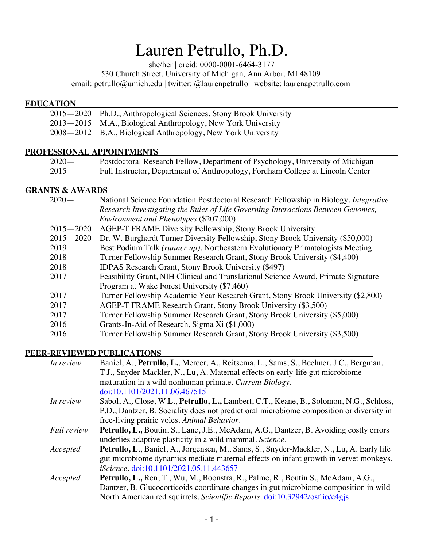# Lauren Petrullo, Ph.D.

she/her | orcid: 0000-0001-6464-3177

530 Church Street, University of Michigan, Ann Arbor, MI 48109

email: petrullo@umich.edu | twitter: @laurenpetrullo | website: laurenapetrullo.com

#### **EDUCATION**

| 2015–2020 Ph.D., Anthropological Sciences, Stony Brook University |
|-------------------------------------------------------------------|
| 2013–2015 M.A., Biological Anthropology, New York University      |
| 2008 – 2012 B.A., Biological Anthropology, New York University    |

#### **PROFESSIONAL APPOINTMENTS**

| $2020 -$ | Postdoctoral Research Fellow, Department of Psychology, University of Michigan |
|----------|--------------------------------------------------------------------------------|
| 2015     | Full Instructor, Department of Anthropology, Fordham College at Lincoln Center |

#### **GRANTS & AWARDS**

| $2020-$       | National Science Foundation Postdoctoral Research Fellowship in Biology, Integrative |
|---------------|--------------------------------------------------------------------------------------|
|               | Research Investigating the Rules of Life Governing Interactions Between Genomes,     |
|               | Environment and Phenotypes (\$207,000)                                               |
| $2015 - 2020$ | AGEP-T FRAME Diversity Fellowship, Stony Brook University                            |
| $2015 - 2020$ | Dr. W. Burghardt Turner Diversity Fellowship, Stony Brook University (\$50,000)      |
| 2019          | Best Podium Talk (runner up), Northeastern Evolutionary Primatologists Meeting       |
| 2018          | Turner Fellowship Summer Research Grant, Stony Brook University (\$4,400)            |
| 2018          | <b>IDPAS Research Grant, Stony Brook University (\$497)</b>                          |
| 2017          | Feasibility Grant, NIH Clinical and Translational Science Award, Primate Signature   |
|               | Program at Wake Forest University (\$7,460)                                          |
| 2017          | Turner Fellowship Academic Year Research Grant, Stony Brook University (\$2,800)     |
| 2017          | AGEP-T FRAME Research Grant, Stony Brook University (\$3,500)                        |
| 2017          | Turner Fellowship Summer Research Grant, Stony Brook University (\$5,000)            |
| 2016          | Grants-In-Aid of Research, Sigma Xi (\$1,000)                                        |
| 2016          | Turner Fellowship Summer Research Grant, Stony Brook University (\$3,500)            |

#### **PEER-REVIEWED PUBLICATIONS**

| In review          | Baniel, A., Petrullo, L., Mercer, A., Reitsema, L., Sams, S., Beehner, J.C., Bergman,         |
|--------------------|-----------------------------------------------------------------------------------------------|
|                    | T.J., Snyder-Mackler, N., Lu, A. Maternal effects on early-life gut microbiome                |
|                    | maturation in a wild nonhuman primate. Current Biology.                                       |
|                    | doi:10.1101/2021.11.06.467515                                                                 |
| In review          | Sabol, A., Close, W.L., Petrullo, L., Lambert, C.T., Keane, B., Solomon, N.G., Schloss,       |
|                    | P.D., Dantzer, B. Sociality does not predict oral microbiome composition or diversity in      |
|                    | free-living prairie voles. Animal Behavior.                                                   |
| <b>Full review</b> | <b>Petrullo, L., Boutin, S., Lane, J.E., McAdam, A.G., Dantzer, B. Avoiding costly errors</b> |
|                    | underlies adaptive plasticity in a wild mammal. Science.                                      |
| Accepted           | Petrullo, L., Baniel, A., Jorgensen, M., Sams, S., Snyder-Mackler, N., Lu, A. Early life      |
|                    | gut microbiome dynamics mediate maternal effects on infant growth in vervet monkeys.          |
|                    | iScience. doi:10.1101/2021.05.11.443657                                                       |
| Accepted           | <b>Petrullo, L., Ren</b> , T., Wu, M., Boonstra, R., Palme, R., Boutin S., McAdam, A.G.,      |
|                    | Dantzer, B. Glucocorticoids coordinate changes in gut microbiome composition in wild          |
|                    | North American red squirrels. Scientific Reports. doi:10.32942/osf.io/c4gjs                   |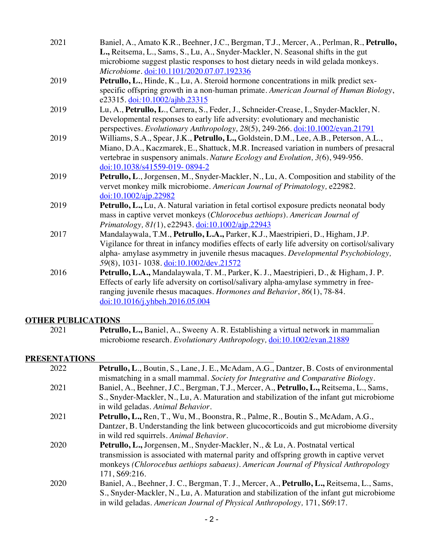| 2021 | Baniel, A., Amato K.R., Beehner, J.C., Bergman, T.J., Mercer, A., Perlman, R., Petrullo,<br>L., Reitsema, L., Sams, S., Lu, A., Snyder-Mackler, N. Seasonal shifts in the gut<br>microbiome suggest plastic responses to host dietary needs in wild gelada monkeys.<br>Microbiome. doi:10.1101/2020.07.07.192336   |
|------|--------------------------------------------------------------------------------------------------------------------------------------------------------------------------------------------------------------------------------------------------------------------------------------------------------------------|
| 2019 | Petrullo, L., Hinde, K., Lu, A. Steroid hormone concentrations in milk predict sex-<br>specific offspring growth in a non-human primate. American Journal of Human Biology,<br>e23315. doi:10.1002/ajhb.23315                                                                                                      |
| 2019 | Lu, A., Petrullo, L., Carrera, S., Feder, J., Schneider-Crease, I., Snyder-Mackler, N.<br>Developmental responses to early life adversity: evolutionary and mechanistic<br>perspectives. Evolutionary Anthropology, 28(5), 249-266. doi:10.1002/evan.21791                                                         |
| 2019 | Williams, S.A., Spear, J.K., Petrullo, L., Goldstein, D.M., Lee, A.B., Peterson, A.L.,<br>Miano, D.A., Kaczmarek, E., Shattuck, M.R. Increased variation in numbers of presacral<br>vertebrae in suspensory animals. Nature Ecology and Evolution, 3(6), 949-956.<br>doi:10.1038/s41559-019-0894-2                 |
| 2019 | Petrullo, L., Jorgensen, M., Snyder-Mackler, N., Lu, A. Composition and stability of the<br>vervet monkey milk microbiome. American Journal of Primatology, e22982.<br>$\frac{\text{doi:10.1002/ajp}.22982}{\text{doi:10.1002/ajp}.22982}$                                                                         |
| 2019 | Petrullo, L., Lu, A. Natural variation in fetal cortisol exposure predicts neonatal body<br>mass in captive vervet monkeys (Chlorocebus aethiops). American Journal of<br>Primatology, 81(1), e22943. doi:10.1002/ajp.22943                                                                                        |
| 2017 | Mandalaywala, T.M., Petrullo, L.A., Parker, K.J., Maestripieri, D., Higham, J.P.<br>Vigilance for threat in infancy modifies effects of early life adversity on cortisol/salivary<br>alpha- amylase asymmetry in juvenile rhesus macaques. Developmental Psychobiology,<br>59(8), 1031-1038. doi:10.1002/dev.21572 |
| 2016 | Petrullo, L.A., Mandalaywala, T. M., Parker, K. J., Maestripieri, D., & Higham, J. P.<br>Effects of early life adversity on cortisol/salivary alpha-amylase symmetry in free-<br>ranging juvenile rhesus macaques. Hormones and Behavior, 86(1), 78-84.<br>doi:10.1016/j.yhbeh.2016.05.004                         |

### **OTHER PUBLICATIONS**

| 2021 | <b>Petrullo, L., Baniel, A., Sweeny A. R. Establishing a virtual network in mammalian</b> |
|------|-------------------------------------------------------------------------------------------|
|      | microbiome research. Evolutionary Anthropology, doi:10.1002/evan.21889                    |

## **PRESENTATIONS**

| 2022 | <b>Petrullo, L., Boutin, S., Lane, J. E., McAdam, A.G., Dantzer, B. Costs of environmental</b><br>mismatching in a small mammal. Society for Integrative and Comparative Biology. |
|------|-----------------------------------------------------------------------------------------------------------------------------------------------------------------------------------|
| 2021 | Baniel, A., Beehner, J.C., Bergman, T.J., Mercer, A., Petrullo, L., Reitsema, L., Sams,                                                                                           |
|      | S., Snyder-Mackler, N., Lu, A. Maturation and stabilization of the infant gut microbiome<br>in wild geladas. Animal Behavior.                                                     |
|      |                                                                                                                                                                                   |
| 2021 | <b>Petrullo, L., Ren, T., Wu, M., Boonstra, R., Palme, R., Boutin S., McAdam, A.G.,</b>                                                                                           |
|      | Dantzer, B. Understanding the link between glucocorticoids and gut microbiome diversity                                                                                           |
|      | in wild red squirrels. Animal Behavior.                                                                                                                                           |
| 2020 | Petrullo, L., Jorgensen, M., Snyder-Mackler, N., & Lu, A. Postnatal vertical                                                                                                      |
|      | transmission is associated with maternal parity and offspring growth in captive vervet                                                                                            |
|      | monkeys (Chlorocebus aethiops sabaeus). American Journal of Physical Anthropology                                                                                                 |
|      | 171, S69:216.                                                                                                                                                                     |
| 2020 | Baniel, A., Beehner, J. C., Bergman, T. J., Mercer, A., Petrullo, L., Reitsema, L., Sams,                                                                                         |
|      |                                                                                                                                                                                   |
|      | S., Snyder-Mackler, N., Lu, A. Maturation and stabilization of the infant gut microbiome                                                                                          |
|      | in wild geladas. American Journal of Physical Anthropology, 171, S69:17.                                                                                                          |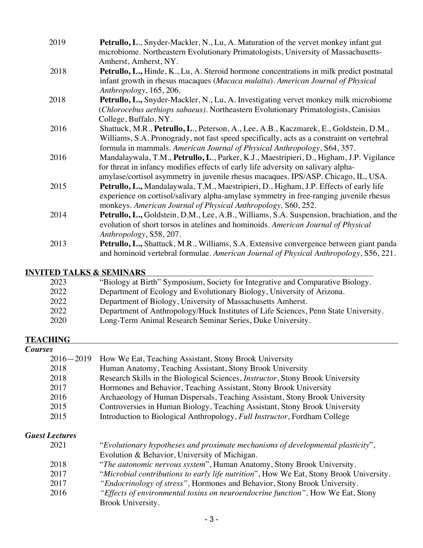| 2019 | <b>Petrullo, L., Snyder-Mackler, N., Lu, A. Maturation of the vervet monkey infant gut</b><br>microbiome. Northeastern Evolutionary Primatologists, University of Massachusetts-<br>Amherst, Amherst, NY.                                                           |
|------|---------------------------------------------------------------------------------------------------------------------------------------------------------------------------------------------------------------------------------------------------------------------|
| 2018 | <b>Petrullo, L., Hinde, K., Lu, A. Steroid hormone concentrations in milk predict postnatal</b><br>infant growth in rhesus macaques (Macaca mulatta). American Journal of Physical<br>Anthropology, 165, 206.                                                       |
| 2018 | <b>Petrullo, L., Snyder-Mackler, N., Lu, A. Investigating vervet monkey milk microbiome</b><br>(Chlorocebus aethiops sabaeus). Northeastern Evolutionary Primatologists, Canisius<br>College, Buffalo, NY.                                                          |
| 2016 | Shattuck, M.R., Petrullo, L., Peterson, A., Lee, A.B., Kaczmarek, E., Goldstein, D.M.,<br>Williams, S.A. Pronogrady, not fast speed specifically, acts as a constraint on vertebral<br>formula in mammals. American Journal of Physical Anthropology, S64, 357.     |
| 2016 | Mandalaywala, T.M., Petrullo, L., Parker, K.J., Maestripieri, D., Higham, J.P. Vigilance<br>for threat in infancy modifies effects of early life adversity on salivary alpha-<br>amylase/cortisol asymmetry in juvenile rhesus macaques. IPS/ASP. Chicago, IL, USA. |
| 2015 | Petrullo, L., Mandalaywala, T.M., Maestripieri, D., Higham, J.P. Effects of early life<br>experience on cortisol/salivary alpha-amylase symmetry in free-ranging juvenile rhesus<br>monkeys. American Journal of Physical Anthropology, S60, 252.                   |
| 2014 | <b>Petrullo, L., Goldstein, D.M., Lee, A.B., Williams, S.A. Suspension, brachiation, and the</b><br>evolution of short torsos in atelines and hominoids. American Journal of Physical<br>Anthropology, S58, 207.                                                    |
| 2013 | <b>Petrullo, L., Shattuck, M.R., Williams, S.A. Extensive convergence between giant panda</b><br>and hominoid vertebral formulae. American Journal of Physical Anthropology, S56, 221.                                                                              |

## **INVITED TALKS & SEMINARS**

| 2023 | "Biology at Birth" Symposium, Society for Integrative and Comparative Biology.      |
|------|-------------------------------------------------------------------------------------|
| 2022 | Department of Ecology and Evolutionary Biology, University of Arizona.              |
| 2022 | Department of Biology, University of Massachusetts Amherst.                         |
| 2022 | Department of Anthropology/Huck Institutes of Life Sciences, Penn State University. |
| 2020 | Long-Term Animal Research Seminar Series, Duke University.                          |

#### **TEACHING** *Courses*

| ?S            |                                                                                        |
|---------------|----------------------------------------------------------------------------------------|
| $2016 - 2019$ | How We Eat, Teaching Assistant, Stony Brook University                                 |
| 2018          | Human Anatomy, Teaching Assistant, Stony Brook University                              |
| 2018          | Research Skills in the Biological Sciences, <i>Instructor</i> , Stony Brook University |
| 2017          | Hormones and Behavior, Teaching Assistant, Stony Brook University                      |
| 2016          | Archaeology of Human Dispersals, Teaching Assistant, Stony Brook University            |
| 2015          | Controversies in Human Biology, Teaching Assistant, Stony Brook University             |
| 2015          | Introduction to Biological Anthropology, Full Instructor, Fordham College              |
|               |                                                                                        |

# *Guest Lectures*

| 2021 | "Evolutionary hypotheses and proximate mechanisms of developmental plasticity",        |
|------|----------------------------------------------------------------------------------------|
|      | Evolution & Behavior, University of Michigan.                                          |
| 2018 | "The autonomic nervous system", Human Anatomy, Stony Brook University.                 |
| 2017 | "Microbial contributions to early life nutrition", How We Eat, Stony Brook University. |
| 2017 | "Endocrinology of stress", Hormones and Behavior, Stony Brook University.              |
| 2016 | "Effects of environmental toxins on neuroendocrine function", How We Eat, Stony        |
|      | Brook University.                                                                      |
|      |                                                                                        |